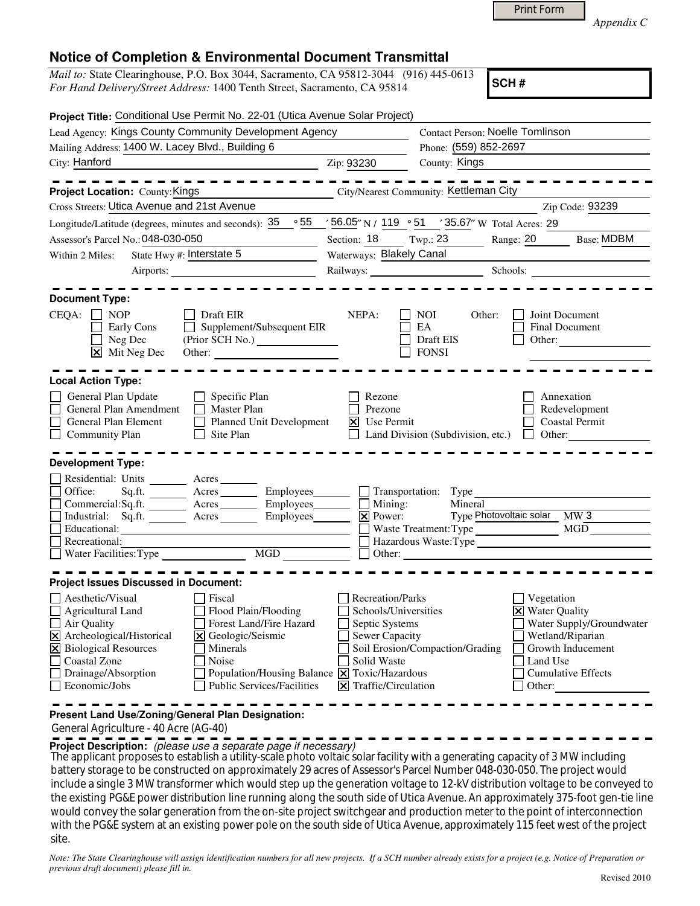|  | <b>Print Form</b> |  |
|--|-------------------|--|
|  |                   |  |

*Appendix C* 

| <i>Mail to:</i> State Clearinghouse, P.O. Box 3044, Sacramento, CA 95812-3044 (916) 445-0613 |  |
|----------------------------------------------------------------------------------------------|--|
| For Hand Delivery/Street Address: 1400 Tenth Street, Sacramento, CA 95814                    |  |

**SCH #**

| Lead Agency: Kings County Community Development Agency                                                                            | <b>Contact Person: Noelle Tomlinson</b>                                                      |                                                  |                                |                                                                   |  |
|-----------------------------------------------------------------------------------------------------------------------------------|----------------------------------------------------------------------------------------------|--------------------------------------------------|--------------------------------|-------------------------------------------------------------------|--|
| Mailing Address: 1400 W. Lacey Blvd., Building 6                                                                                  |                                                                                              | Phone: (559) 852-2697                            |                                |                                                                   |  |
| City: Hanford                                                                                                                     | Zip: 93230                                                                                   | County: Kings                                    |                                |                                                                   |  |
| --------                                                                                                                          |                                                                                              |                                                  |                                | --------                                                          |  |
| Project Location: County: Kings                                                                                                   |                                                                                              | City/Nearest Community: Kettleman City           |                                |                                                                   |  |
| Cross Streets: Utica Avenue and 21st Avenue                                                                                       |                                                                                              |                                                  |                                | Zip Code: 93239                                                   |  |
| Longitude/Latitude (degrees, minutes and seconds): $35^\circ$ 55 / $56.05''$ N / 119 ° 51 / 35.67" W Total Acres: 29              |                                                                                              |                                                  |                                |                                                                   |  |
| Assessor's Parcel No.: 048-030-050<br><u> 1990 - Johann Barbara, mart</u>                                                         | Section: $18$ Twp.: 23                                                                       |                                                  | Range: 20                      | <b>Base: MDBM</b>                                                 |  |
| State Hwy #: Interstate $5$<br>Within 2 Miles:                                                                                    | Waterways: Blakely Canal                                                                     |                                                  |                                |                                                                   |  |
|                                                                                                                                   |                                                                                              | Railways: Schools: Schools:                      |                                |                                                                   |  |
|                                                                                                                                   |                                                                                              |                                                  |                                |                                                                   |  |
| <b>Document Type:</b>                                                                                                             |                                                                                              |                                                  |                                |                                                                   |  |
| <b>NOP</b><br>$CEQA: \Box$<br>Draft EIR<br>Supplement/Subsequent EIR<br>Early Cons<br>Neg Dec<br>$\boxed{\mathsf{X}}$ Mit Neg Dec | NEPA:                                                                                        | NOI<br>Other:<br>EA<br>Draft EIS<br><b>FONSI</b> |                                | Joint Document<br><b>Final Document</b><br>Other: $\qquad \qquad$ |  |
| <b>Local Action Type:</b>                                                                                                         |                                                                                              |                                                  |                                |                                                                   |  |
|                                                                                                                                   |                                                                                              |                                                  |                                |                                                                   |  |
| General Plan Update<br>$\Box$ Specific Plan<br>General Plan Amendment<br>$\Box$ Master Plan                                       | Rezone<br>Prezone                                                                            |                                                  |                                | Annexation<br>Redevelopment                                       |  |
| General Plan Element<br>Planned Unit Development<br>$\mathsf{L}$                                                                  | $ \overline{\mathsf{x}} $ Use Permit                                                         |                                                  |                                | Coastal Permit                                                    |  |
| Site Plan<br><b>Community Plan</b>                                                                                                |                                                                                              | Land Division (Subdivision, etc.) $\Box$         |                                | Other: $\qquad \qquad$                                            |  |
|                                                                                                                                   |                                                                                              |                                                  |                                |                                                                   |  |
| <b>Development Type:</b>                                                                                                          |                                                                                              |                                                  |                                |                                                                   |  |
| Residential: Units _______<br>Acres                                                                                               |                                                                                              |                                                  |                                |                                                                   |  |
| Office:<br>Sq.fit.<br>$Arcres$ <sub>_______</sub>                                                                                 | Employees________                                                                            | $\Box$ Transportation: Type                      |                                |                                                                   |  |
| Commercial:Sq.ft. ________ Acres _______                                                                                          | Employees_______<br>$\blacksquare$ Mining:<br>$\overline{\mathbf{X}}$ Power:                 | Mineral                                          |                                |                                                                   |  |
| Industrial: Sq.ft. Acres<br>Educational:                                                                                          | Employees________                                                                            | Waste Treatment: Type                            | Type Photovoltaic solar MW 3   | MGD                                                               |  |
| <u> 1980 - John Stein, mars and de Brazilian (b. 1980)</u><br>Recreational:                                                       |                                                                                              | Hazardous Waste:Type                             |                                |                                                                   |  |
| Water Facilities: Type                                                                                                            | $\overline{\text{MGD}}$                                                                      |                                                  |                                |                                                                   |  |
|                                                                                                                                   |                                                                                              |                                                  |                                |                                                                   |  |
| <b>Project Issues Discussed in Document:</b>                                                                                      |                                                                                              |                                                  |                                |                                                                   |  |
| Aesthetic/Visual<br>Fiscal                                                                                                        | Recreation/Parks                                                                             |                                                  | Vegetation                     |                                                                   |  |
| Flood Plain/Flooding<br>Agricultural Land                                                                                         | Schools/Universities                                                                         |                                                  | $\triangleright$ Water Quality |                                                                   |  |
| Forest Land/Fire Hazard<br>Air Quality                                                                                            | Septic Systems                                                                               |                                                  |                                | Water Supply/Groundwater                                          |  |
| X Archeological/Historical<br>Geologic/Seismic                                                                                    | Sewer Capacity                                                                               |                                                  |                                | Wetland/Riparian                                                  |  |
| X Biological Resources<br>Minerals                                                                                                |                                                                                              | Soil Erosion/Compaction/Grading                  |                                | Growth Inducement                                                 |  |
| Noise                                                                                                                             | Solid Waste                                                                                  |                                                  | Land Use                       |                                                                   |  |
| Coastal Zone                                                                                                                      |                                                                                              |                                                  |                                |                                                                   |  |
| Drainage/Absorption<br>Economic/Jobs<br><b>Public Services/Facilities</b>                                                         | Population/Housing Balance $\boxed{\mathsf{X}}$ Toxic/Hazardous<br>$\Xi$ Traffic/Circulation |                                                  | Other:                         | <b>Cumulative Effects</b>                                         |  |

General Agriculture - 40 Acre (AG-40)

**Project Description:** (please use a separate page if necessary)

 The applicant proposes to establish a utility-scale photo voltaic solar facility with a generating capacity of 3 MW including battery storage to be constructed on approximately 29 acres of Assessor's Parcel Number 048-030-050. The project would include a single 3 MW transformer which would step up the generation voltage to 12-kV distribution voltage to be conveyed to the existing PG&E power distribution line running along the south side of Utica Avenue. An approximately 375-foot gen-tie line would convey the solar generation from the on-site project switchgear and production meter to the point of interconnection with the PG&E system at an existing power pole on the south side of Utica Avenue, approximately 115 feet west of the project site.

*Note: The State Clearinghouse will assign identification numbers for all new projects. If a SCH number already exists for a project (e.g. Notice of Preparation or previous draft document) please fill in.*